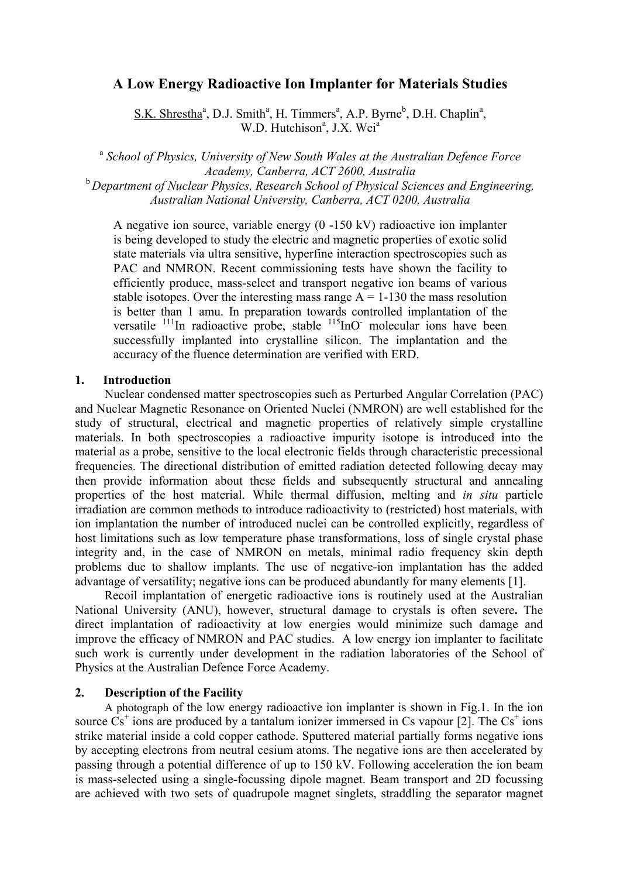# **[A Low Energy Radioactive Ion Implanter for Materials Studies](#page-2-0)**

S.K. Shrestha<sup>a</sup>, D.J. Smith<sup>a</sup>, H. Timmers<sup>a</sup>, A.P. Byrne<sup>b</sup>, D.H. Chaplin<sup>a</sup>, W.D. Hutchison<sup>a</sup>, J.X. Wei<sup>a</sup>

<sup>a</sup> *School of Physics, University of New South Wales at the Australian Defence Force Academy, Canberra, ACT 2600, Australia*  <sup>b</sup> *Department of Nuclear Physics, Research School of Physical Sciences and Engineering, Australian National University, Canberra, ACT 0200, Australia* 

A negative ion source, variable energy (0 -150 kV) radioactive ion implanter is being developed to study the electric and magnetic properties of exotic solid state materials via ultra sensitive, hyperfine interaction spectroscopies such as PAC and NMRON. Recent commissioning tests have shown the facility to efficiently produce, mass-select and transport negative ion beams of various stable isotopes. Over the interesting mass range  $A = 1-130$  the mass resolution is better than 1 amu. In preparation towards controlled implantation of the versatile  $^{111}$ In radioactive probe, stable  $^{115}$ InO molecular ions have been successfully implanted into crystalline silicon. The implantation and the accuracy of the fluence determination are verified with ERD.

### **1. Introduction**

Nuclear condensed matter spectroscopies such as Perturbed Angular Correlation (PAC) and Nuclear Magnetic Resonance on Oriented Nuclei (NMRON) are well established for the study of structural, electrical and magnetic properties of relatively simple crystalline materials. In both spectroscopies a radioactive impurity isotope is introduced into the material as a probe, sensitive to the local electronic fields through characteristic precessional frequencies. The directional distribution of emitted radiation detected following decay may then provide information about these fields and subsequently structural and annealing properties of the host material. While thermal diffusion, melting and *in situ* particle irradiation are common methods to introduce radioactivity to (restricted) host materials, with ion implantation the number of introduced nuclei can be controlled explicitly, regardless of host limitations such as low temperature phase transformations, loss of single crystal phase integrity and, in the case of NMRON on metals, minimal radio frequency skin depth problems due to shallow implants. The use of negative-ion implantation has the added advantage of versatility; negative ions can be produced abundantly for many elements [1].

 Recoil implantation of energetic radioactive ions is routinely used at the Australian National University (ANU), however, structural damage to crystals is often severe**.** The direct implantation of radioactivity at low energies would minimize such damage and improve the efficacy of NMRON and PAC studies. A low energy ion implanter to facilitate such work is currently under development in the radiation laboratories of the School of Physics at the Australian Defence Force Academy.

## **2. Description of the Facility**

 A photograph of the low energy radioactive ion implanter is shown in Fig.1. In the ion source  $\hat{Cs}^+$  ions are produced by a tantalum ionizer immersed in Cs vapour [2]. The  $\hat{Cs}^+$  ions strike material inside a cold copper cathode. Sputtered material partially forms negative ions by accepting electrons from neutral cesium atoms. The negative ions are then accelerated by passing through a potential difference of up to 150 kV. Following acceleration the ion beam is mass-selected using a single-focussing dipole magnet. Beam transport and 2D focussing are achieved with two sets of quadrupole magnet singlets, straddling the separator magnet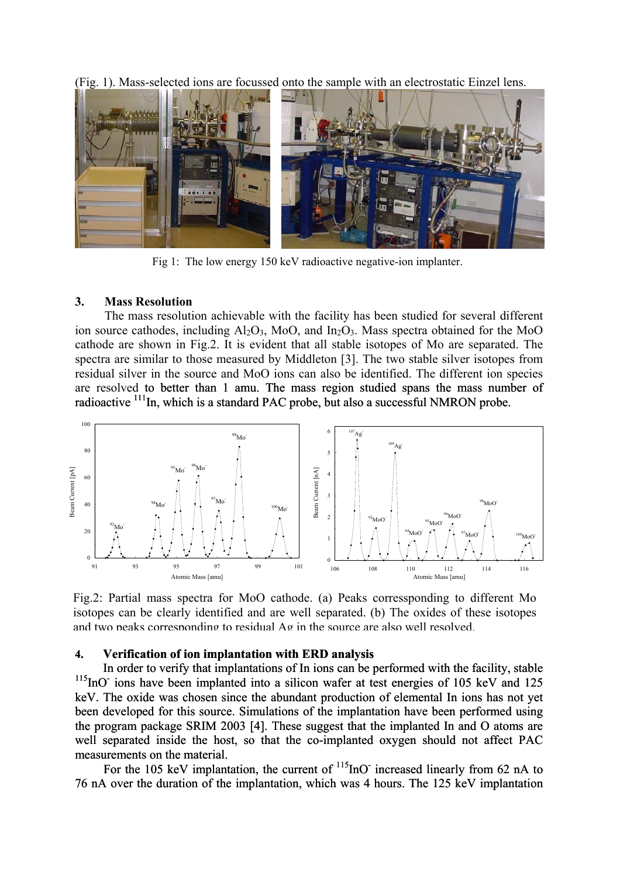(Fig. 1). Mass-selected ions are focussed onto the sample with an electrostatic Einzel lens.



Fig 1: The low energy 150 keV radioactive negative-ion implanter.

### **3. Mass Resolution**

The mass resolution achievable with the facility has been studied for several different ion source cathodes, including  $A<sub>12</sub>O<sub>3</sub>$ , MoO, and In<sub>2</sub>O<sub>3</sub>. Mass spectra obtained for the MoO cathode are shown in Fig.2. It is evident that all stable isotopes of Mo are separated. The spectra are similar to those measured by Middleton [3]. The two stable silver isotopes from residual silver in the source and MoO ions can also be identified. The different ion species are resolved to better than 1 amu. The mass region studied spans the mass number of radioactive <sup>111</sup>In, which is a standard PAC probe, but also a successful NMRON probe.



Fig.2: Partial mass spectra for MoO cathode. (a) Peaks corressponding to different Mo isotopes can be clearly identified and are well separated. (b) The oxides of these isotopes and two peaks corresponding to residual Ag in the source are also well resolved.

#### **. Verification of ion implantation with ERD analysis 4**

In order to verify that implantations of In ions can be performed with the facility, stable  $\sum_{n=1}^{\infty}$  ions have been implanted into a silican wefer at test energies of 105 keV and 125 <sup>115</sup>InO ions have been implanted into a silicon wafer at test energies of 105 keV and 125 keV. The oxide was chosen since the abundant production of elemental In ions has not yet been developed for this source. Simulations of the implantation have been performed using the program package SRIM 2003 [4]. These suggest that the implanted In and O atoms are well separated inside the host, so that the co-implanted oxygen should not affect PAC measurements on the material.

For the 105 keV implantation, the current of  $\frac{115}{100}$  increased linearly from 62 nA to 76 nA over the duration of the implantation, which was 4 hours. The 125 keV implantation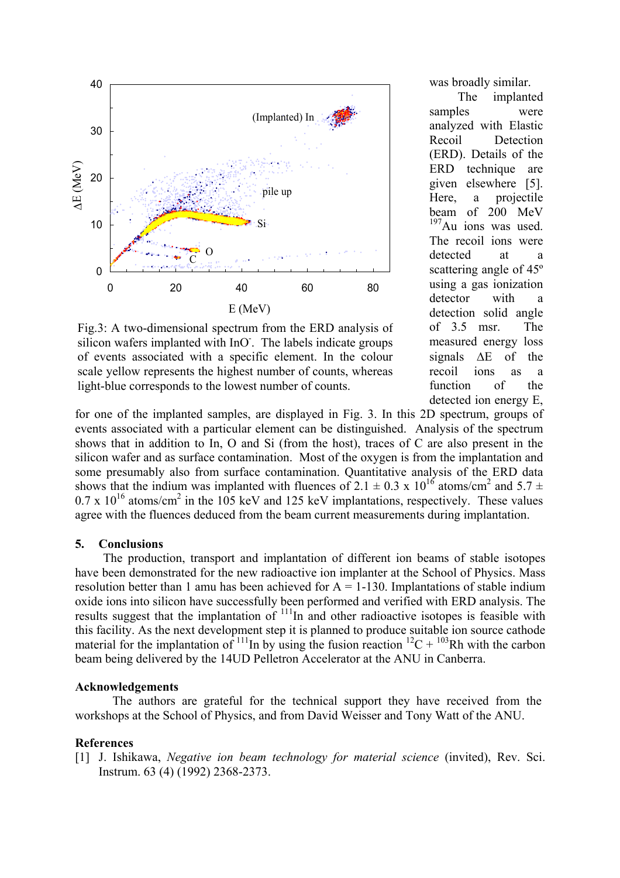<span id="page-2-0"></span>

Fig.3: A two-dimensional spectrum from the ERD analysis of silicon wafers implanted with InO. The labels indicate groups of events associated with a specific element. In the colour scale yellow represents the highest number of counts, whereas light-blue corresponds to the lowest number of counts.

was broadly similar.

(ERD). Details of the ERD The implanted samples were analyzed with Elastic Recoil Detection technique are given elsewhere [5]. Here, a projectile beam of 200 MeV  $197$ Au ions was used. The recoil ions were detected at a scattering angle of 45º using a gas ionization detector with a detection solid angle of 3.5 msr. The measured energy loss signals ∆E of the recoil ions as a function of the detected ion energy E,

for one of the implanted samples, are displayed in Fig. 3. In this 2 D spectrum, groups of events associated with a particular element can be distinguished. Analysis of the spectrum shows that in addition to In, O and Si (from the host), traces of C are also present in the silicon wafer and as surface contamination. Most of the oxygen is from the implantation and some presumably also from surface contamination. Quantitative analysis of the ERD data shows that the indium was implanted with fluences of 2.1  $\pm$  0.3 x 10<sup>16</sup> atoms/cm<sup>2</sup> and 5.7  $\pm$  $0.7 \times 10^{16}$  atoms/cm<sup>2</sup> in the 105 keV and 125 keV implantations, respectively. These values agree with the fluences deduced from the beam current measurements during implantation.

### **5. Conclusions**

The production, transport and implantation of different ion beams of stable isotopes have been demonstrated for the new radioactive ion implanter at the School of Physics. Mass resolution better than 1 amu has been achieved for  $A = 1-130$ . Implantations of stable indium oxide ions into silicon have successfully been performed and verified with ERD analysis. The results suggest that the implantation of  $\frac{111}{n}$  and other radioactive isotopes is feasible with this facility. As the next development step it is planned to produce suitable ion source cathode material for the implantation of  $^{111}$ In by using the fusion reaction  $^{12}C + ^{103}Rh$  with the carbon beam being delivered by the 14UD Pelletron Accelerator at the ANU in Canberra.

### **Acknowledgements**

The authors are grateful for the technical support they have received from the workshops at the School of Physics, and from David Weisser and Tony Watt of the ANU.

### **References**

[1] J. Ishikawa, *Negative ion beam technology for material science* (invited), Rev. Sci. Instrum. 63 (4) (1992) 2368-2373.